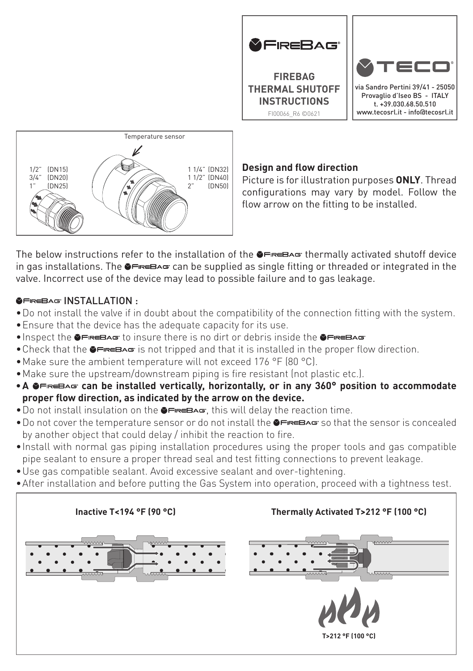

**FIREBAG THERMAL SHUTOFF INSTRUCTIONS** FI00066\_R6 ©0621



via Sandro Pertini 39/41 - 25050 Provaglio d'Iseo BS - ITALY t. +39.030.68.50.510 www.tecosrl.it - info@tecosrl.it



## **Design and flow direction**

Picture is for illustration purposes **ONLY**. Thread configurations may vary by model. Follow the flow arrow on the fitting to be installed.

The below instructions refer to the installation of the  $\bullet \bullet \bullet \bullet$  thermally activated shutoff device in gas installations. The  $\bullet \rightleftarrows \bullet \bullet$  can be supplied as single fitting or threaded or integrated in the valve. Incorrect use of the device may lead to possible failure and to gas leakage.

## **GEREBAG INSTALLATION ·**

- •Do not install the valve if in doubt about the compatibility of the connection fitting with the system.
- •Ensure that the device has the adequate capacity for its use.
- $\bullet$  Inspect the  $\bullet \vDash \vDash \vDash B \wedge \vDash$  to insure there is no dirt or debris inside the  $\bullet \vDash \vDash \vDash B \wedge \vDash$
- Check that the  $\bullet \equiv$   $\bullet \equiv$  is not tripped and that it is installed in the proper flow direction.
- •Make sure the ambient temperature will not exceed 176 °F (80 °C).
- •Make sure the upstream/downstream piping is fire resistant (not plastic etc.).
- **•A G**FREBAG can be installed vertically, horizontally, or in any 360° position to accommodate **proper flow direction, as indicated by the arrow on the device.**
- Do not install insulation on the <sup>SHREBAG</sup>, this will delay the reaction time.
- Do not cover the temperature sensor or do not install the **SFREBAG** so that the sensor is concealed by another object that could delay / inhibit the reaction to fire.
- •Install with normal gas piping installation procedures using the proper tools and gas compatible pipe sealant to ensure a proper thread seal and test fitting connections to prevent leakage.
- •Use gas compatible sealant. Avoid excessive sealant and over-tightening.
- •After installation and before putting the Gas System into operation, proceed with a tightness test.